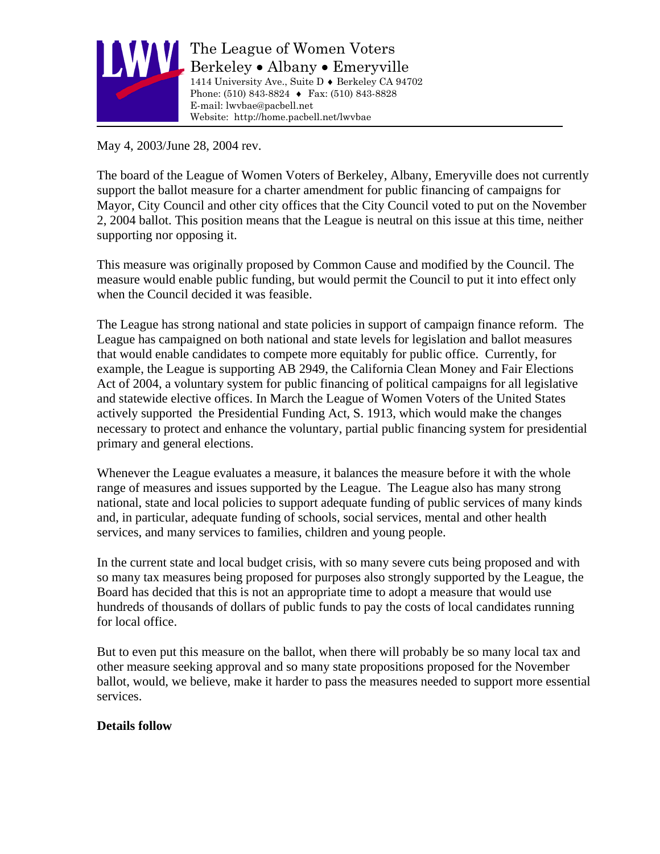

The League of Women Voters Berkeley • Albany • Emeryville 1414 University Ave., Suite D ♦ Berkeley CA 94702 Phone: (510) 843-8824 ♦ Fax: (510) 843-8828 E-mail: lwvbae@pacbell.net Website: http://home.pacbell.net/lwvbae

May 4, 2003/June 28, 2004 rev.

The board of the League of Women Voters of Berkeley, Albany, Emeryville does not currently support the ballot measure for a charter amendment for public financing of campaigns for Mayor, City Council and other city offices that the City Council voted to put on the November 2, 2004 ballot. This position means that the League is neutral on this issue at this time, neither supporting nor opposing it.

This measure was originally proposed by Common Cause and modified by the Council. The measure would enable public funding, but would permit the Council to put it into effect only when the Council decided it was feasible.

The League has strong national and state policies in support of campaign finance reform. The League has campaigned on both national and state levels for legislation and ballot measures that would enable candidates to compete more equitably for public office. Currently, for example, the League is supporting AB 2949, the California Clean Money and Fair Elections Act of 2004, a voluntary system for public financing of political campaigns for all legislative and statewide elective offices. In March the League of Women Voters of the United States actively supported the Presidential Funding Act, S. 1913, which would make the changes necessary to protect and enhance the voluntary, partial public financing system for presidential primary and general elections.

Whenever the League evaluates a measure, it balances the measure before it with the whole range of measures and issues supported by the League. The League also has many strong national, state and local policies to support adequate funding of public services of many kinds and, in particular, adequate funding of schools, social services, mental and other health services, and many services to families, children and young people.

In the current state and local budget crisis, with so many severe cuts being proposed and with so many tax measures being proposed for purposes also strongly supported by the League, the Board has decided that this is not an appropriate time to adopt a measure that would use hundreds of thousands of dollars of public funds to pay the costs of local candidates running for local office.

But to even put this measure on the ballot, when there will probably be so many local tax and other measure seeking approval and so many state propositions proposed for the November ballot, would, we believe, make it harder to pass the measures needed to support more essential services.

# **Details follow**